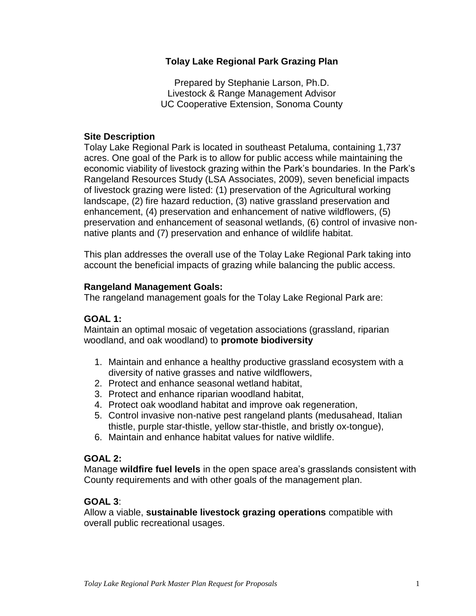## **Tolay Lake Regional Park Grazing Plan**

Prepared by Stephanie Larson, Ph.D. Livestock & Range Management Advisor UC Cooperative Extension, Sonoma County

### **Site Description**

 acres. One goal of the Park is to allow for public access while maintaining the of livestock grazing were listed: (1) preservation of the Agricultural working native plants and (7) preservation and enhance of wildlife habitat. Tolay Lake Regional Park is located in southeast Petaluma, containing 1,737 economic viability of livestock grazing within the Park's boundaries. In the Park's Rangeland Resources Study (LSA Associates, 2009), seven beneficial impacts landscape, (2) fire hazard reduction, (3) native grassland preservation and enhancement, (4) preservation and enhancement of native wildflowers, (5) preservation and enhancement of seasonal wetlands, (6) control of invasive non-

 This plan addresses the overall use of the Tolay Lake Regional Park taking into account the beneficial impacts of grazing while balancing the public access.

### **Rangeland Management Goals:**

The rangeland management goals for the Tolay Lake Regional Park are:

## **GOAL 1:**

Maintain an optimal mosaic of vegetation associations (grassland, riparian woodland, and oak woodland) to **promote biodiversity** 

- 1. Maintain and enhance a healthy productive grassland ecosystem with a diversity of native grasses and native wildflowers,
- 2. Protect and enhance seasonal wetland habitat,
- 3. Protect and enhance riparian woodland habitat,
- 4. Protect oak woodland habitat and improve oak regeneration,
- 5. Control invasive non-native pest rangeland plants (medusahead, Italian thistle, purple star-thistle, yellow star-thistle, and bristly ox-tongue),
- 6. Maintain and enhance habitat values for native wildlife.

#### **GOAL 2:**

Manage **wildfire fuel levels** in the open space area's grasslands consistent with County requirements and with other goals of the management plan.

## **GOAL 3**:

Allow a viable, **sustainable livestock grazing operations** compatible with overall public recreational usages.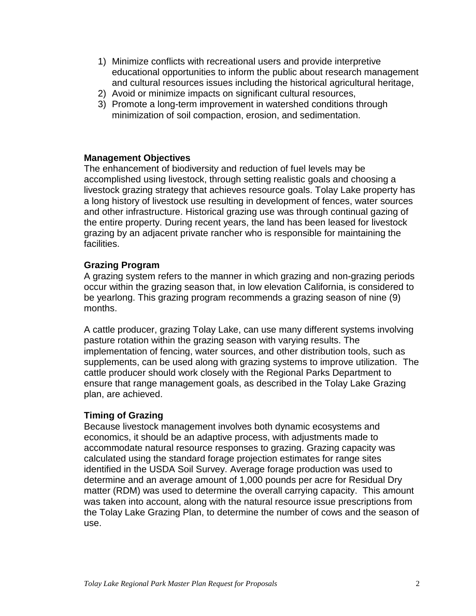- 1) Minimize conflicts with recreational users and provide interpretive educational opportunities to inform the public about research management and cultural resources issues including the historical agricultural heritage,
- 2) Avoid or minimize impacts on significant cultural resources,
- 3) Promote a long-term improvement in watershed conditions through minimization of soil compaction, erosion, and sedimentation.

## **Management Objectives**

 the entire property. During recent years, the land has been leased for livestock The enhancement of biodiversity and reduction of fuel levels may be accomplished using livestock, through setting realistic goals and choosing a livestock grazing strategy that achieves resource goals. Tolay Lake property has a long history of livestock use resulting in development of fences, water sources and other infrastructure. Historical grazing use was through continual gazing of grazing by an adjacent private rancher who is responsible for maintaining the facilities.

# **Grazing Program**

months. A grazing system refers to the manner in which grazing and non-grazing periods occur within the grazing season that, in low elevation California, is considered to be yearlong. This grazing program recommends a grazing season of nine (9)

 implementation of fencing, water sources, and other distribution tools, such as supplements, can be used along with grazing systems to improve utilization. The cattle producer should work closely with the Regional Parks Department to ensure that range management goals, as described in the Tolay Lake Grazing A cattle producer, grazing Tolay Lake, can use many different systems involving pasture rotation within the grazing season with varying results. The plan, are achieved.

# **Timing of Grazing**

 identified in the USDA Soil Survey. Average forage production was used to Because livestock management involves both dynamic ecosystems and economics, it should be an adaptive process, with adjustments made to accommodate natural resource responses to grazing. Grazing capacity was calculated using the standard forage projection estimates for range sites determine and an average amount of 1,000 pounds per acre for Residual Dry matter (RDM) was used to determine the overall carrying capacity. This amount was taken into account, along with the natural resource issue prescriptions from the Tolay Lake Grazing Plan, to determine the number of cows and the season of use.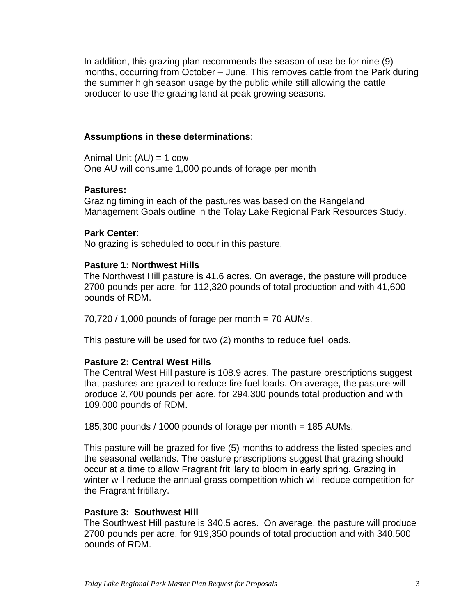In addition, this grazing plan recommends the season of use be for nine (9) months, occurring from October – June. This removes cattle from the Park during the summer high season usage by the public while still allowing the cattle producer to use the grazing land at peak growing seasons.

## **Assumptions in these determinations**:

 Animal Unit (AU) = 1 cow One AU will consume 1,000 pounds of forage per month

### **Pastures:**

 Grazing timing in each of the pastures was based on the Rangeland Management Goals outline in the Tolay Lake Regional Park Resources Study.

## **Park Center**:

No grazing is scheduled to occur in this pasture.

### **Pasture 1: Northwest Hills**

 The Northwest Hill pasture is 41.6 acres. On average, the pasture will produce 2700 pounds per acre, for 112,320 pounds of total production and with 41,600 pounds of RDM.

 $70,720$  / 1,000 pounds of forage per month = 70 AUMs.

This pasture will be used for two (2) months to reduce fuel loads.

## **Pasture 2: Central West Hills**

 that pastures are grazed to reduce fire fuel loads. On average, the pasture will produce 2,700 pounds per acre, for 294,300 pounds total production and with The Central West Hill pasture is 108.9 acres. The pasture prescriptions suggest 109,000 pounds of RDM.

185,300 pounds / 1000 pounds of forage per month = 185 AUMs.

 occur at a time to allow Fragrant fritillary to bloom in early spring. Grazing in This pasture will be grazed for five (5) months to address the listed species and the seasonal wetlands. The pasture prescriptions suggest that grazing should winter will reduce the annual grass competition which will reduce competition for the Fragrant fritillary.

#### **Pasture 3: Southwest Hill**

 The Southwest Hill pasture is 340.5 acres. On average, the pasture will produce 2700 pounds per acre, for 919,350 pounds of total production and with 340,500 pounds of RDM.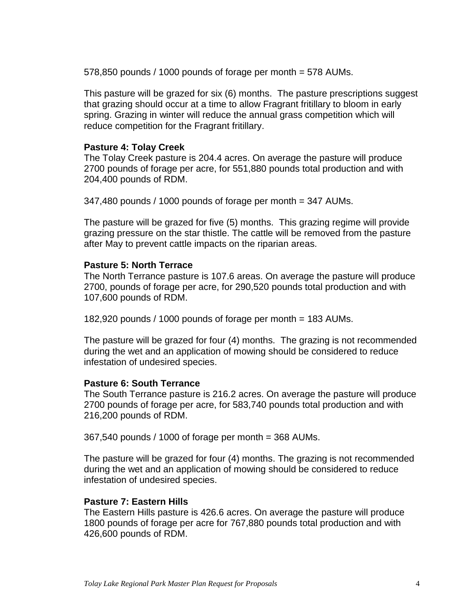578,850 pounds / 1000 pounds of forage per month = 578 AUMs.

 that grazing should occur at a time to allow Fragrant fritillary to bloom in early This pasture will be grazed for six (6) months. The pasture prescriptions suggest spring. Grazing in winter will reduce the annual grass competition which will reduce competition for the Fragrant fritillary.

#### **Pasture 4: Tolay Creek**

 2700 pounds of forage per acre, for 551,880 pounds total production and with The Tolay Creek pasture is 204.4 acres. On average the pasture will produce 204,400 pounds of RDM.

347,480 pounds / 1000 pounds of forage per month = 347 AUMs.

 The pasture will be grazed for five (5) months. This grazing regime will provide grazing pressure on the star thistle. The cattle will be removed from the pasture after May to prevent cattle impacts on the riparian areas.

#### **Pasture 5: North Terrace**

 The North Terrance pasture is 107.6 areas. On average the pasture will produce 2700, pounds of forage per acre, for 290,520 pounds total production and with 107,600 pounds of RDM.

182,920 pounds / 1000 pounds of forage per month = 183 AUMs.

 The pasture will be grazed for four (4) months. The grazing is not recommended during the wet and an application of mowing should be considered to reduce infestation of undesired species.

#### **Pasture 6: South Terrance**

 2700 pounds of forage per acre, for 583,740 pounds total production and with The South Terrance pasture is 216.2 acres. On average the pasture will produce 216,200 pounds of RDM.

367,540 pounds / 1000 of forage per month = 368 AUMs.

 during the wet and an application of mowing should be considered to reduce infestation of undesired species. The pasture will be grazed for four (4) months. The grazing is not recommended

#### **Pasture 7: Eastern Hills**

 The Eastern Hills pasture is 426.6 acres. On average the pasture will produce 1800 pounds of forage per acre for 767,880 pounds total production and with 426,600 pounds of RDM.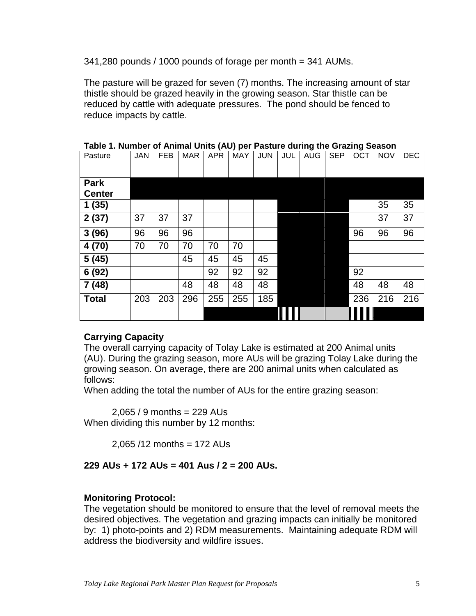341,280 pounds / 1000 pounds of forage per month = 341 AUMs.

 reduced by cattle with adequate pressures. The pond should be fenced to The pasture will be grazed for seven (7) months. The increasing amount of star thistle should be grazed heavily in the growing season. Star thistle can be reduce impacts by cattle.

| Pasture                      | <b>JAN</b> | <b>FEB</b> | <b>MAR</b> | <b>APR</b> | <b>MAY</b> | <b>JUN</b> | JUL | <b>AUG</b> | <b>SEP</b> | <b>OCT</b> | <b>NOV</b> | <b>DEC</b> |
|------------------------------|------------|------------|------------|------------|------------|------------|-----|------------|------------|------------|------------|------------|
| <b>Park</b><br><b>Center</b> |            |            |            |            |            |            |     |            |            |            |            |            |
| 1(35)                        |            |            |            |            |            |            |     |            |            |            | 35         | 35         |
| 2(37)                        | 37         | 37         | 37         |            |            |            |     |            |            |            | 37         | 37         |
| 3(96)                        | 96         | 96         | 96         |            |            |            |     |            |            | 96         | 96         | 96         |
| 4 (70)                       | 70         | 70         | 70         | 70         | 70         |            |     |            |            |            |            |            |
| 5(45)                        |            |            | 45         | 45         | 45         | 45         |     |            |            |            |            |            |
| 6 (92)                       |            |            |            | 92         | 92         | 92         |     |            |            | 92         |            |            |
| 7(48)                        |            |            | 48         | 48         | 48         | 48         |     |            |            | 48         | 48         | 48         |
| <b>Total</b>                 | 203        | 203        | 296        | 255        | 255        | 185        |     |            |            | 236        | 216        | 216        |
|                              |            |            |            |            |            |            |     |            |            |            |            |            |

 **Table 1. Number of Animal Units (AU) per Pasture during the Grazing Season** 

# **Carrying Capacity**

 The overall carrying capacity of Tolay Lake is estimated at 200 Animal units (AU). During the grazing season, more AUs will be grazing Tolay Lake during the growing season. On average, there are 200 animal units when calculated as follows:

When adding the total the number of AUs for the entire grazing season:

2,065 / 9 months = 229 AUs

When dividing this number by 12 months:

2,065 /12 months = 172 AUs

# **229 AUs + 172 AUs = 401 Aus / 2 = 200 AUs.**

# **Monitoring Protocol:**

 The vegetation should be monitored to ensure that the level of removal meets the desired objectives. The vegetation and grazing impacts can initially be monitored by: 1) photo-points and 2) RDM measurements. Maintaining adequate RDM will address the biodiversity and wildfire issues.